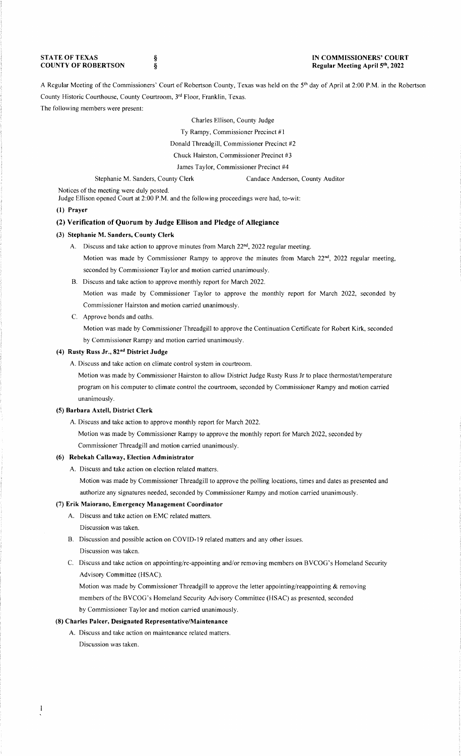**STATE OF TEXAS COUNTY OF ROBERTSON**  § §

#### **IN COMMISSIONERS' COURT Regular Meeting April 5th, 2022**

A Regular Meeting of the Commissioners' Court of Robertson County, Texas was held on the 5th day of April at 2:00 P.M. in the Robertson County Historic Courthouse, County Courtroom, 3rd Floor, Franklin, Texas.

## The following members were present:

Charles Ellison, County Judge

Ty Rampy, Commissioner Precinct #1

Donald Threadgill, Commissioner Precinct #2

Chuck Hairston, Commissioner Precinct #3

James Taylor, Commissioner Precinct #4

Stephanie M. Sanders, County Clerk Candace Anderson, County Auditor

Notices of the meeting were duly posted.

Judge Ellison opened Court at 2:00 P.M. and the following proceedings were had, to-wit:

## **(l) Prayer**

# **(2) Verification of Quorum by Judge Ellison and Pledge of Allegiance**

## **(3) Stephanie M. Sanders, County Clerk**

- A. Discuss and take action to approve minutes from March 22<sup>nd</sup>, 2022 regular meeting. Motion was made by Commissioner Rampy to approve the minutes from March  $22<sup>nd</sup>$ , 2022 regular meeting, seconded by Commissioner Taylor and motion carried unanimously.
- B. Discuss and take action to approve monthly report for March 2022. Motion was made by Commissioner Taylor to approve the monthly report for March 2022, seconded by Commissioner Hairston and motion carried unanimously.
- C. Approve bonds and oaths.

Motion was made by Commissioner Threadgill to approve the Continuation Certificate for Robert Kirk, seconded by Commissioner Rampy and motion carried unanimously.

# **(4) Rusty Russ Jr., 82nd District Judge**

A. Discuss and take action on climate control system in courtroom.

Motion was made by Commissioner Hairston to allow District Judge Rusty Russ Jr to place thermostat/temperature program on his computer to climate control the courtroom, seconded by Commissioner Rampy and motion carried unanimously.

#### **(5) Barbara Axtell, District Clerk**

A. Discuss and take action to approve monthly report for March 2022.

Motion was made by Commissioner Rampy to approve the monthly report for March 2022, seconded by Commissioner Threadgill and motion carried unanimously.

#### **(6) Rebekah Callaway, Election Administrator**

A. Discuss and take action on election related matters.

Motion was made by Commissioner Threadgill to approve the polling locations, times and dates as presented and authorize any signatures needed, seconded by Commissioner Rampy and motion carried unanimously.

# (7) **Erik Maiorano, Emergency Management Coordinator**

- A. Discuss and take action on EMC related matters.
- Discussion was taken.
- B. Discussion and possible action on COVID-19 related matters and any other issues. Discussion was taken.
- C. Discuss and take action on appointing/re-appointing and/or removing members on BVCOG's Homeland Security Advisory Committee (HSAC).

Motion was made by Commissioner Threadgill to approve the letter appointing/reappointing & removing members of the BVCOG's Homeland Security Advisory Committee (HSAC) as presented, seconded by Commissioner Taylor and motion carried unanimously.

#### **(8) Charles Paker, Designated Representative/Maintenance**

A. Discuss and take action on maintenance related matters.

Discussion was taken.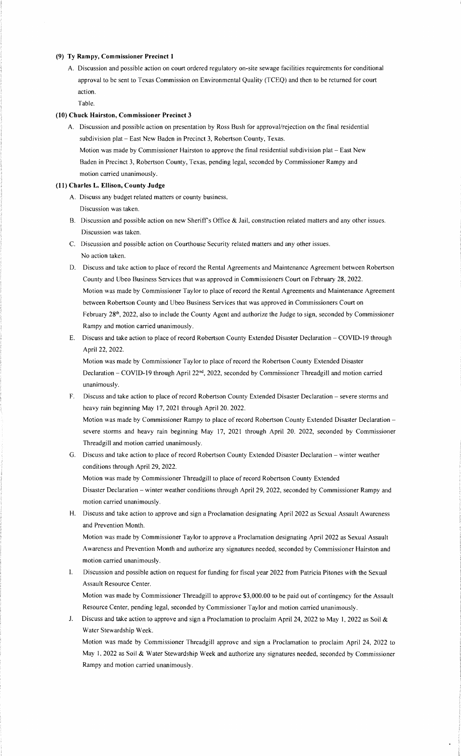#### **(9) Ty Rampy, Commissioner Precinct I**

A. Discussion and possible action on court ordered regulatory on-site sewage facilities requirements for conditional approval to be sent to Texas Commission on Environmental Quality (TCEQ) and then to be returned for court action.

Table.

## **(10) Chuck Hairston, Commissioner Precinct 3**

A. Discussion and possible action on presentation by Ross Bush for approval/rejection on the final residential subdivision plat - East New Baden in Precinct 3, Robertson County, Texas. Motion was made by Commissioner Hairston to approve the final residential subdivision plat - East New Baden in Precinct 3, Robertson County, Texas, pending legal, seconded by Commissioner Rampy and motion carried unanimously.

# **(11) Charles L. Ellison, County Judge**

- A. Discuss any budget related matters or county business. Discussion was taken.
- B. Discussion and possible action on new Sheriff's Office & Jail, construction related matters and any other issues. Discussion was taken.
- C. Discussion and possible action on Courthouse Security related matters and any other issues. No action taken.
- D. Discuss and take action to place of record the Rental Agreements and Maintenance Agreement between Robertson County and Ubeo Business Services that was approved in Commissioners Court on February 28, 2022. Motion was made by Commissioner Taylor to place of record the Rental Agreements and Maintenance Agreement between Robertson County and Ubeo Business Services that was approved in Commissioners Court on February 28<sup>th</sup>, 2022, also to include the County Agent and authorize the Judge to sign, seconded by Commissioner Rampy and motion carried unanimously.
- E. Discuss and take action to place of record Robertson County Extended Disaster Declaration COVID-19 through April 22, 2022.

Motion was made by Commissioner Taylor to place of record the Robertson County Extended Disaster Declaration - COVID-19 through April 22nd, 2022, seconded by Commissioner Threadgill and motion carried unanimously.

F. Discuss and take action to place of record Robertson County Extended Disaster Declaration - severe storms and heavy rain beginning May 17, 2021 through April 20. 2022.

Motion was made by Commissioner Rampy to place of record Robertson County Extended Disaster Declaration severe storms and heavy rain beginning May 17, 2021 through April 20. 2022, seconded by Commissioner Threadgill and motion carried unanimously.

G. Discuss and take action to place of record Robertson County Extended Disaster Declaration - winter weather conditions through April 29, 2022. Motion was made by Commissioner Threadgill to place of record Robertson County Extended Disaster Declaration - winter weather conditions through April 29, 2022, seconded by Commissioner Rampy and

motion carried unanimously. H. Discuss and take action to approve and sign a Proclamation designating April 2022 as Sexual Assault Awareness

and Prevention Month. Motion was made by Commissioner Taylor to approve a Proclamation designating April 2022 as Sexual Assault Awareness and Prevention Month and authorize any signatures needed, seconded by Commissioner Hairston and motion carried unanimously.

I. Discussion and possible action on request for funding for fiscal year 2022 from Patricia Pitones with the Sexual Assault Resource Center.

Motion was made by Commissioner Threadgill to approve \$3,000.00 to be paid out of contingency for the Assault Resource Center, pending legal, seconded by Commissioner Taylor and motion carried unanimously.

J. Discuss and take action to approve and sign a Proclamation to proclaim April 24, 2022 to May I, 2022 as Soil & Water Stewardship Week.

Motion was made by Commissioner Threadgill approve and sign a Proclamation to proclaim April 24, 2022 to May I, 2022 as Soil & Water Stewardship Week and authorize any signatures needed, seconded by Commissioner Rampy and motion carried unanimously.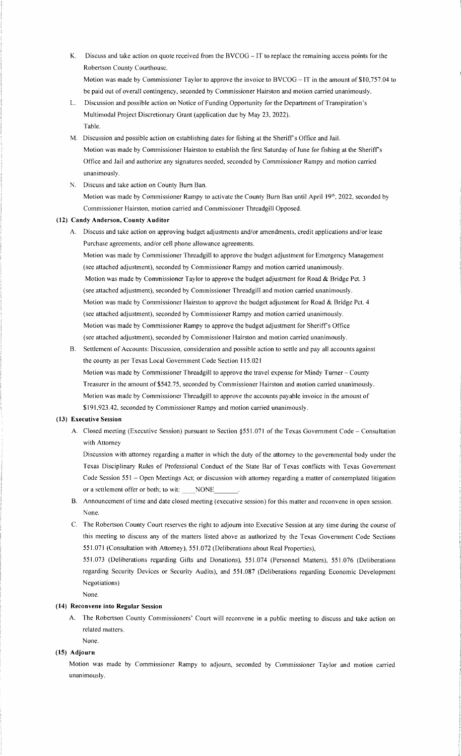**K.** Discuss and take action on quote received from the BVCOG - IT to replace the remaining access points for the Robertson County Courthouse.

Motion was made by Commissioner Taylor to approve the invoice to BVCOG - IT in the amount of \$10,757.04 to be paid out of overall contingency, seconded by Commissioner Hairston and motion carried unanimously.

- L. Discussion and possible action on Notice of Funding Opportunity for the Department of Transpiration's Multimodal Project Discretionary Grant (application due by May 23, 2022). Table.
- M. Discussion and possible action on establishing dates for fishing at the Sheriff's Office and Jail. Motion was made by Commissioner Hairston to establish the first Saturday of June for fishing at the Sheriff's Office and Jail and authorize any signatures needed, seconded by Commissioner Rampy and motion carried unanimously.
- N. Discuss and take action on County Bum Ban.

Motion was made by Commissioner Rampy to activate the County Burn Ban until April 19th, 2022, seconded by Commissioner Hairston, motion carried and Commissioner Threadgill Opposed.

## **(12) Candy Anderson, County Auditor**

A. Discuss and take action on approving budget adjustments and/or amendments, credit applications and/or lease Purchase agreements, and/or cell phone allowance agreements.

Motion was made by Commissioner Threadgill to approve the budget adjustment for Emergency Management (see attached adjustment), seconded by Commissioner Rampy and motion carried unanimously. Motion was made by Commissioner Taylor to approve the budget adjustment for Road & Bridge Pct. 3 (see attached adjustment), seconded by Commissioner Threadgill and motion carried unanimously. Motion was made by Commissioner Hairston to approve the budget adjustment for Road & Bridge Pct. 4 (see attached adjustment), seconded by Commissioner Rampy and motion carried unanimously. Motion was made by Commissioner Rampy to approve the budget adjustment for Sheriff's Office (see attached adjustment), seconded by Commissioner Hairston and motion carried unanimously.

B. Settlement of Accounts: Discussion, consideration and possible action to settle and pay all accounts against the county as per Texas Local Government Code Section 115.021

Motion was made by Commissioner Threadgill to approve the travel expense for Mindy Turner - County Treasurer in the amount of \$542.75, seconded by Commissioner Hairston and motion carried unanimously. Motion was made by Commissioner Threadgill to approve the accounts payable invoice in the amount of \$191,923.42, seconded by Commissioner Rampy and motion carried unanimously.

#### **(13) Executive Session**

A. Closed meeting (Executive Session) pursuant to Section §551.071 of the Texas Government Code - Consultation with Attorney

Discussion with attorney regarding a matter in which the duty of the attorney to the governmental body under the Texas Disciplinary Rules of Professional Conduct of the State Bar of Texas conflicts with Texas Government Code Session 551 - Open Meetings Act; or discussion with attorney regarding a matter of contemplated litigation or a settlement offer or both; to wit: \_\_\_\_NONE

- B. Announcement of time and date closed meeting (executive session) for this matter and reconvene in open session. None.
- C. The Robertson County Court reserves the right to adjourn into Executive Session at any time during the course of this meeting to discuss any of the matters listed above as authorized by the Texas Government Code Sections 551.071 (Consultation with Attorney), 551.072 (Deliberations about Real Properties),

551.073 (Deliberations regarding Gifts and Donations), 551.074 (Personnel Matters), 551.076 (Deliberations regarding Security Devices or Security Audits), and 551.087 (Deliberations regarding Economic Development Negotiations)

None.

None.

# **(14) Reconvene into Regular Session**

A. The Robertson County Commissioners' Court will reconvene in a public meeting to discuss and take action on related matters.

# **(15) Adjourn**

Motion was made by Commissioner Rampy to adjourn, seconded by Commissioner Taylor and motion carried unanimously.